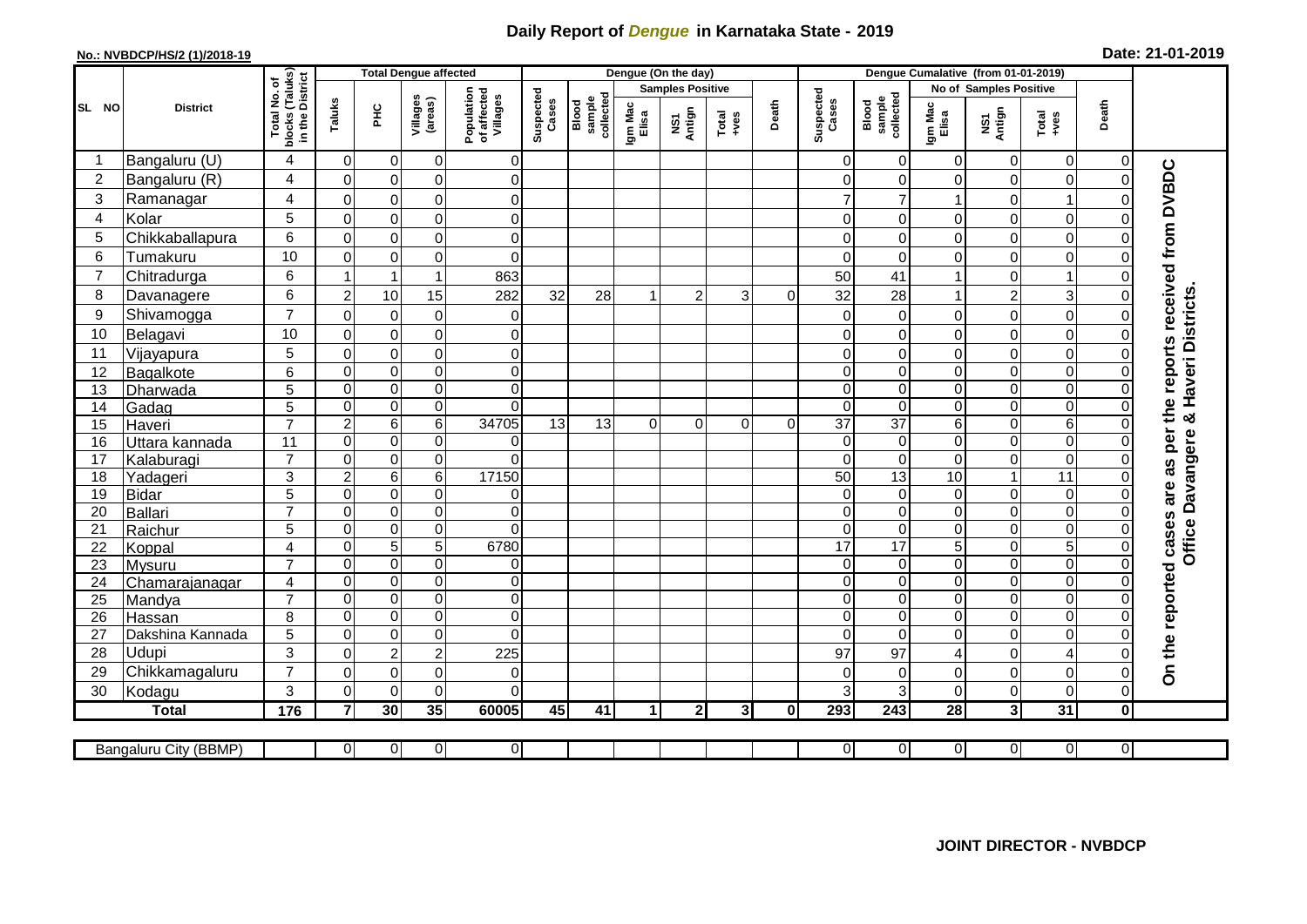## **Daily Report of** *Dengue* **in Karnataka State - 2019**

## **No.: NVBDCP/HS/2 (1)/2018-19**

| Date: 21-01-2019 |  |  |  |  |
|------------------|--|--|--|--|
|------------------|--|--|--|--|

|                |                       |                                      |                | <b>Total Dengue affected</b> |                     |                                       | Dengue (On the day)     |                              |                         |                |                |          |                      | Dengue Cumalative (from 01-01-2019) |                               |                  |                |                |                                            |  |
|----------------|-----------------------|--------------------------------------|----------------|------------------------------|---------------------|---------------------------------------|-------------------------|------------------------------|-------------------------|----------------|----------------|----------|----------------------|-------------------------------------|-------------------------------|------------------|----------------|----------------|--------------------------------------------|--|
|                |                       | (Taluks)<br>District<br>۴            |                |                              |                     |                                       | <b>Samples Positive</b> |                              |                         |                |                |          |                      |                                     | <b>No of Samples Positive</b> |                  |                |                |                                            |  |
| SL NO          | <b>District</b>       | Total No.<br><b>blocks</b><br>in the | Taluks         | ᆂ                            | Villages<br>(areas) | Population<br>of affected<br>Villages | Suspected<br>Cases      | sample<br>collected<br>Blood | Igm Mac<br>Elisa        | NS1<br>Antign  | Total<br>+ves  | Death    | Suspected<br>Cases   | sample<br>collected<br>Blood        | Igm Mac<br>Elisa              | NS1<br>Antign    | Total<br>+ves  | Death          |                                            |  |
|                | Bangaluru (U)         | $\overline{4}$                       | $\mathbf 0$    | $\mathbf 0$                  | $\boldsymbol{0}$    | $\mathbf 0$                           |                         |                              |                         |                |                |          | $\Omega$             | 0                                   | 0                             | 0                | $\overline{0}$ | 0              |                                            |  |
| $\overline{c}$ | Bangaluru (R)         | 4                                    | $\mathbf 0$    | $\pmb{0}$                    | $\mathsf 0$         | $\overline{0}$                        |                         |                              |                         |                |                |          | $\Omega$             | 0                                   | $\Omega$                      | $\pmb{0}$        | $\pmb{0}$      | $\Omega$       |                                            |  |
| 3              | Ramanagar             | 4                                    | $\mathbf{0}$   | $\mathbf 0$                  | $\mathbf 0$         | $\mathbf 0$                           |                         |                              |                         |                |                |          |                      | 7                                   |                               | $\mathbf 0$      | $\overline{1}$ |                | are as per the reports received from DVBDC |  |
| $\overline{4}$ | Kolar                 | 5                                    | $\Omega$       | $\mathbf 0$                  | $\mathbf 0$         | $\mathbf 0$                           |                         |                              |                         |                |                |          | $\Omega$             | $\Omega$                            | $\Omega$                      | $\mathbf 0$      | $\mathbf 0$    |                |                                            |  |
| 5              | Chikkaballapura       | 6                                    | $\mathbf 0$    | $\mathbf 0$                  | $\mathsf 0$         | $\mathbf 0$                           |                         |                              |                         |                |                |          | $\Omega$             | 0                                   | 0                             | $\mathbf 0$      | $\mathbf 0$    |                |                                            |  |
| 6              | Tumakuru              | 10                                   | $\mathbf 0$    | $\pmb{0}$                    | $\mathsf 0$         | $\mathbf 0$                           |                         |                              |                         |                |                |          | $\Omega$             | $\mathbf 0$                         | $\Omega$                      | $\mathbf 0$      | $\mathbf 0$    |                |                                            |  |
| $\overline{7}$ | Chitradurga           | 6                                    |                | $\overline{\mathbf{1}}$      | 1                   | 863                                   |                         |                              |                         |                |                |          | 50                   | 41                                  |                               | $\pmb{0}$        | $\mathbf 1$    |                |                                            |  |
| 8              | Davanagere            | 6                                    | $\overline{2}$ | 10                           | 15                  | 282                                   | 32                      | 28                           | $\overline{\mathbf{1}}$ | $\overline{2}$ | 3              | $\Omega$ | 32                   | 28                                  |                               | $\overline{2}$   | 3              |                |                                            |  |
| 9              | Shivamogga            | $\overline{7}$                       | $\Omega$       | $\mathbf 0$                  | $\mathbf 0$         | $\mathbf 0$                           |                         |                              |                         |                |                |          | 0                    | $\mathbf 0$                         | 0                             | $\mathbf 0$      | $\pmb{0}$      |                | & Haveri Districts                         |  |
| 10             | Belagavi              | 10                                   | 0              | 0                            | $\mathsf 0$         | $\mathbf 0$                           |                         |                              |                         |                |                |          | 0                    | $\mathbf 0$                         | 0                             | $\mathbf 0$      | $\mathbf 0$    |                |                                            |  |
| 11             | Vijayapura            | 5                                    | $\mathbf 0$    | $\mathbf 0$                  | $\mathbf 0$         | $\mathbf 0$                           |                         |                              |                         |                |                |          | $\Omega$             | $\Omega$                            | $\Omega$                      | $\mathbf 0$      | $\mathbf 0$    |                |                                            |  |
| 12             | Bagalkote             | 6                                    | $\mathbf 0$    | $\mathbf 0$                  | $\overline{0}$      | $\pmb{0}$                             |                         |                              |                         |                |                |          | $\Omega$             | $\mathbf 0$                         | 0                             | $\boldsymbol{0}$ | $\mathbf 0$    |                |                                            |  |
| 13             | Dharwada              | $\overline{5}$                       | $\mathbf 0$    | $\boldsymbol{0}$             | $\overline{0}$      | $\mathbf 0$                           |                         |                              |                         |                |                |          | $\Omega$             | $\mathbf 0$                         | 0                             | $\boldsymbol{0}$ | $\overline{0}$ |                |                                            |  |
| 14             | Gadag                 | 5                                    | $\mathbf 0$    | $\boldsymbol{0}$             | $\overline{0}$      | $\Omega$                              |                         |                              |                         |                |                |          | $\Omega$             | $\pmb{0}$                           | 0                             | $\boldsymbol{0}$ | $\overline{0}$ |                |                                            |  |
| 15             | Haveri                | $\overline{7}$                       | $\overline{c}$ | $\,6\,$                      | $\overline{6}$      | 34705                                 | $\overline{13}$         | 13                           | $\Omega$                | $\Omega$       | $\Omega$       | $\Omega$ | $\overline{37}$      | $\overline{37}$                     | 6                             | $\boldsymbol{0}$ | $\overline{6}$ |                |                                            |  |
| 16             | Uttara kannada        | 11                                   | 0              | $\mathbf 0$                  | 0                   | $\overline{0}$                        |                         |                              |                         |                |                |          | $\Omega$             | $\mathbf 0$                         | 0                             | $\pmb{0}$        | $\pmb{0}$      |                | Office Davangere                           |  |
| 17             | Kalaburagi            | $\overline{7}$                       | $\Omega$       | $\mathbf 0$                  | $\mathsf 0$         | $\Omega$                              |                         |                              |                         |                |                |          | $\Omega$             | $\mathbf 0$                         | 0                             | $\mathbf 0$      | $\mathbf 0$    |                |                                            |  |
| 18             | Yadageri              | 3                                    | $\overline{2}$ | $\,6$                        | 6                   | 17150                                 |                         |                              |                         |                |                |          | 50                   | 13                                  | 10                            | $\overline{1}$   | 11             |                |                                            |  |
| 19             | <b>Bidar</b>          | $\overline{5}$                       | $\Omega$       | $\pmb{0}$                    | $\overline{0}$      | $\mathbf 0$                           |                         |                              |                         |                |                |          | $\Omega$             | $\mathbf 0$                         | 0                             | $\overline{0}$   | $\pmb{0}$      |                |                                            |  |
| 20             | Ballari               | $\overline{7}$                       | $\mathbf 0$    | $\boldsymbol{0}$             | $\overline{0}$      | $\overline{\mathsf{o}}$               |                         |                              |                         |                |                |          | $\Omega$             | $\mathbf 0$                         | 0                             | $\overline{0}$   | $\overline{0}$ | $\Omega$       |                                            |  |
| 21             | Raichur               | 5                                    | $\Omega$       | $\pmb{0}$                    | $\mathsf 0$         | $\mathbf 0$                           |                         |                              |                         |                |                |          | $\Omega$             | $\mathbf 0$                         | 0                             | $\boldsymbol{0}$ | $\mathbf 0$    | $\Omega$       |                                            |  |
| 22             | Koppal                | $\overline{4}$                       | $\Omega$       | $\overline{5}$               | $\overline{5}$      | 6780                                  |                         |                              |                         |                |                |          | 17                   | 17                                  | $\overline{5}$                | $\mathbf 0$      | $\overline{5}$ | $\Omega$       |                                            |  |
| 23             | Mysuru                | $\overline{7}$                       | $\mathbf 0$    | $\boldsymbol{0}$             | $\mathsf 0$         | $\mathbf 0$                           |                         |                              |                         |                |                |          | $\Omega$             | $\mathbf 0$                         | 0                             | $\boldsymbol{0}$ | $\overline{0}$ | 0              |                                            |  |
| 24             | Chamarajanagar        | $\overline{4}$                       | $\mathbf 0$    | $\Omega$                     | $\mathsf 0$         | $\mathbf 0$                           |                         |                              |                         |                |                |          | $\Omega$             | $\mathbf 0$                         | 0                             | $\boldsymbol{0}$ | $\overline{0}$ |                |                                            |  |
| 25             | Mandya                | $\overline{7}$                       | $\mathbf 0$    | $\pmb{0}$                    | $\mathsf 0$         | $\mathbf 0$                           |                         |                              |                         |                |                |          | $\Omega$             | 0                                   | 0                             | $\pmb{0}$        | 0              |                |                                            |  |
| 26             | Hassan                | 8                                    | $\Omega$       | $\mathbf 0$                  | $\mathbf 0$         | $\Omega$                              |                         |                              |                         |                |                |          | $\Omega$<br>$\Omega$ | $\Omega$                            | $\Omega$                      | 0                | $\Omega$       |                |                                            |  |
| 27             | Dakshina Kannada      | 5                                    | $\Omega$       | $\mathbf 0$                  | $\mathbf 0$         | $\Omega$                              |                         |                              |                         |                |                |          |                      | $\Omega$                            | $\Omega$                      | $\mathbf 0$      | $\mathbf 0$    |                |                                            |  |
| 28             | Udupi                 | 3<br>$\overline{7}$                  | $\Omega$       | $\overline{2}$               | $\overline{2}$      | 225                                   |                         |                              |                         |                |                |          | 97                   | 97                                  | 4                             | $\mathbf 0$      | $\overline{4}$ |                | On the reported cases                      |  |
| 29             | Chikkamagaluru        |                                      | $\Omega$       | $\boldsymbol{0}$             | $\mathbf 0$         | $\pmb{0}$                             |                         |                              |                         |                |                |          | $\Omega$             | $\mathbf 0$                         | 0                             | $\mathbf 0$      | $\pmb{0}$      |                |                                            |  |
| 30             | Kodagu                | 3                                    | $\Omega$       | $\mathbf 0$                  | $\mathbf 0$         | $\mathbf 0$                           |                         |                              |                         |                |                |          | 3                    | 3                                   | $\Omega$                      | $\mathbf 0$      | $\pmb{0}$      | 0              |                                            |  |
|                | <b>Total</b>          | $\frac{1}{176}$                      | $\overline{7}$ | 30                           | $\overline{35}$     | 60005                                 | 45                      | 41                           | 1                       | 2 <sub>1</sub> | 3 <sup>l</sup> | 0        | 293                  | 243                                 | 28                            | 3 <sup>1</sup>   | 31             | 0l             |                                            |  |
|                | Bangaluru City (BBMP) |                                      | $\overline{0}$ | $\overline{0}$               | $\overline{0}$      | $\overline{O}$                        |                         |                              |                         |                |                |          | $\overline{0}$       | $\overline{0}$                      | $\overline{0}$                | $\Omega$         | $\overline{0}$ | $\overline{0}$ |                                            |  |